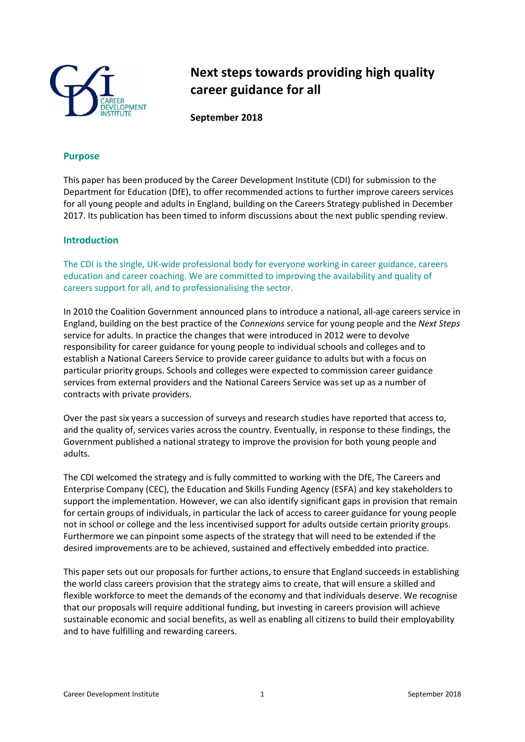

# **Next steps towards providing high quality career guidance for all**

**September 2018**

# **Purpose**

This paper has been produced by the Career Development Institute (CDI) for submission to the Department for Education (DfE), to offer recommended actions to further improve careers services for all young people and adults in England, building on the Careers Strategy published in December 2017. Its publication has been timed to inform discussions about the next public spending review.

#### **Introduction**

The CDI is the single, UK-wide professional body for everyone working in career guidance, careers education and career coaching. We are committed to improving the availability and quality of careers support for all, and to professionalising the sector.

In 2010 the Coalition Government announced plans to introduce a national, all-age careers service in England, building on the best practice of the *Connexions* service for young people and the *Next Steps* service for adults. In practice the changes that were introduced in 2012 were to devolve responsibility for career guidance for young people to individual schools and colleges and to establish a National Careers Service to provide career guidance to adults but with a focus on particular priority groups. Schools and colleges were expected to commission career guidance services from external providers and the National Careers Service was set up as a number of contracts with private providers.

Over the past six years a succession of surveys and research studies have reported that access to, and the quality of, services varies across the country. Eventually, in response to these findings, the Government published a national strategy to improve the provision for both young people and adults.

The CDI welcomed the strategy and is fully committed to working with the DfE, The Careers and Enterprise Company (CEC), the Education and Skills Funding Agency (ESFA) and key stakeholders to support the implementation. However, we can also identify significant gaps in provision that remain for certain groups of individuals, in particular the lack of access to career guidance for young people not in school or college and the less incentivised support for adults outside certain priority groups. Furthermore we can pinpoint some aspects of the strategy that will need to be extended if the desired improvements are to be achieved, sustained and effectively embedded into practice.

This paper sets out our proposals for further actions, to ensure that England succeeds in establishing the world class careers provision that the strategy aims to create, that will ensure a skilled and flexible workforce to meet the demands of the economy and that individuals deserve. We recognise that our proposals will require additional funding, but investing in careers provision will achieve sustainable economic and social benefits, as well as enabling all citizens to build their employability and to have fulfilling and rewarding careers.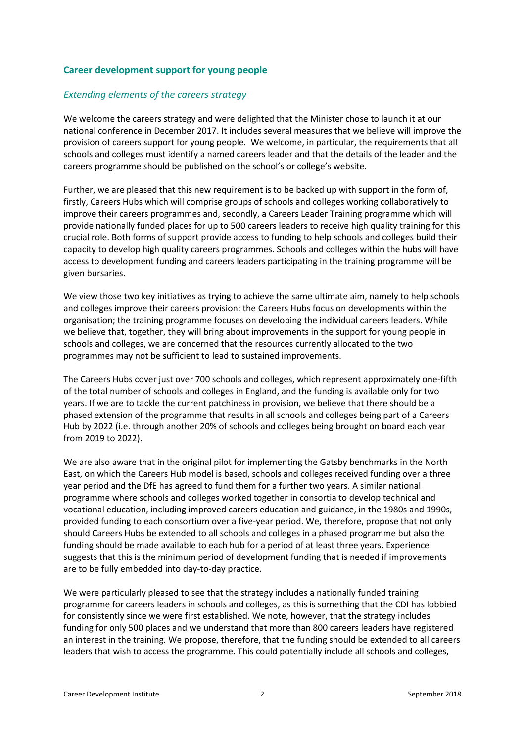### **Career development support for young people**

#### *Extending elements of the careers strategy*

We welcome the careers strategy and were delighted that the Minister chose to launch it at our national conference in December 2017. It includes several measures that we believe will improve the provision of careers support for young people. We welcome, in particular, the requirements that all schools and colleges must identify a named careers leader and that the details of the leader and the careers programme should be published on the school's or college's website.

Further, we are pleased that this new requirement is to be backed up with support in the form of, firstly, Careers Hubs which will comprise groups of schools and colleges working collaboratively to improve their careers programmes and, secondly, a Careers Leader Training programme which will provide nationally funded places for up to 500 careers leaders to receive high quality training for this crucial role. Both forms of support provide access to funding to help schools and colleges build their capacity to develop high quality careers programmes. Schools and colleges within the hubs will have access to development funding and careers leaders participating in the training programme will be given bursaries.

We view those two key initiatives as trying to achieve the same ultimate aim, namely to help schools and colleges improve their careers provision: the Careers Hubs focus on developments within the organisation; the training programme focuses on developing the individual careers leaders. While we believe that, together, they will bring about improvements in the support for young people in schools and colleges, we are concerned that the resources currently allocated to the two programmes may not be sufficient to lead to sustained improvements.

The Careers Hubs cover just over 700 schools and colleges, which represent approximately one-fifth of the total number of schools and colleges in England, and the funding is available only for two years. If we are to tackle the current patchiness in provision, we believe that there should be a phased extension of the programme that results in all schools and colleges being part of a Careers Hub by 2022 (i.e. through another 20% of schools and colleges being brought on board each year from 2019 to 2022).

We are also aware that in the original pilot for implementing the Gatsby benchmarks in the North East, on which the Careers Hub model is based, schools and colleges received funding over a three year period and the DfE has agreed to fund them for a further two years. A similar national programme where schools and colleges worked together in consortia to develop technical and vocational education, including improved careers education and guidance, in the 1980s and 1990s, provided funding to each consortium over a five-year period. We, therefore, propose that not only should Careers Hubs be extended to all schools and colleges in a phased programme but also the funding should be made available to each hub for a period of at least three years. Experience suggests that this is the minimum period of development funding that is needed if improvements are to be fully embedded into day-to-day practice.

We were particularly pleased to see that the strategy includes a nationally funded training programme for careers leaders in schools and colleges, as this is something that the CDI has lobbied for consistently since we were first established. We note, however, that the strategy includes funding for only 500 places and we understand that more than 800 careers leaders have registered an interest in the training. We propose, therefore, that the funding should be extended to all careers leaders that wish to access the programme. This could potentially include all schools and colleges,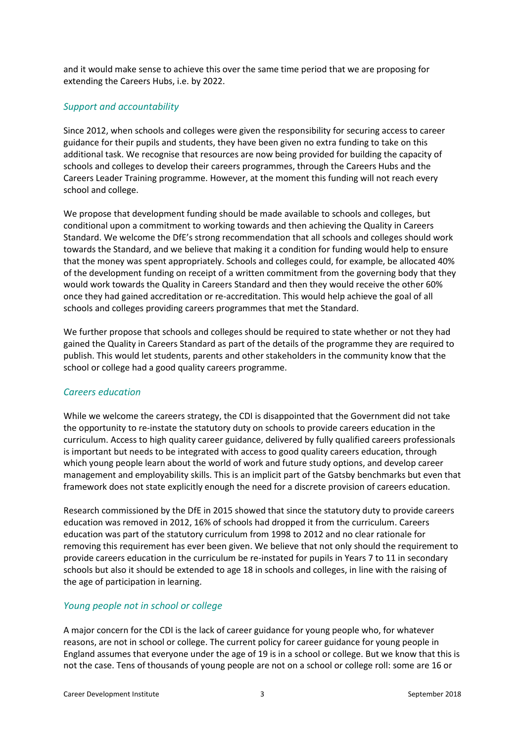and it would make sense to achieve this over the same time period that we are proposing for extending the Careers Hubs, i.e. by 2022.

### *Support and accountability*

Since 2012, when schools and colleges were given the responsibility for securing access to career guidance for their pupils and students, they have been given no extra funding to take on this additional task. We recognise that resources are now being provided for building the capacity of schools and colleges to develop their careers programmes, through the Careers Hubs and the Careers Leader Training programme. However, at the moment this funding will not reach every school and college.

We propose that development funding should be made available to schools and colleges, but conditional upon a commitment to working towards and then achieving the Quality in Careers Standard. We welcome the DfE's strong recommendation that all schools and colleges should work towards the Standard, and we believe that making it a condition for funding would help to ensure that the money was spent appropriately. Schools and colleges could, for example, be allocated 40% of the development funding on receipt of a written commitment from the governing body that they would work towards the Quality in Careers Standard and then they would receive the other 60% once they had gained accreditation or re-accreditation. This would help achieve the goal of all schools and colleges providing careers programmes that met the Standard.

We further propose that schools and colleges should be required to state whether or not they had gained the Quality in Careers Standard as part of the details of the programme they are required to publish. This would let students, parents and other stakeholders in the community know that the school or college had a good quality careers programme.

#### *Careers education*

While we welcome the careers strategy, the CDI is disappointed that the Government did not take the opportunity to re-instate the statutory duty on schools to provide careers education in the curriculum. Access to high quality career guidance, delivered by fully qualified careers professionals is important but needs to be integrated with access to good quality careers education, through which young people learn about the world of work and future study options, and develop career management and employability skills. This is an implicit part of the Gatsby benchmarks but even that framework does not state explicitly enough the need for a discrete provision of careers education.

Research commissioned by the DfE in 2015 showed that since the statutory duty to provide careers education was removed in 2012, 16% of schools had dropped it from the curriculum. Careers education was part of the statutory curriculum from 1998 to 2012 and no clear rationale for removing this requirement has ever been given. We believe that not only should the requirement to provide careers education in the curriculum be re-instated for pupils in Years 7 to 11 in secondary schools but also it should be extended to age 18 in schools and colleges, in line with the raising of the age of participation in learning.

# *Young people not in school or college*

A major concern for the CDI is the lack of career guidance for young people who, for whatever reasons, are not in school or college. The current policy for career guidance for young people in England assumes that everyone under the age of 19 is in a school or college. But we know that this is not the case. Tens of thousands of young people are not on a school or college roll: some are 16 or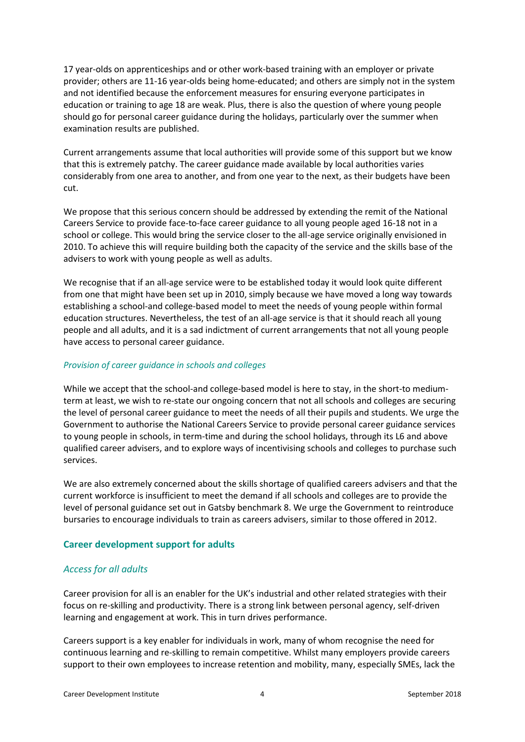17 year-olds on apprenticeships and or other work-based training with an employer or private provider; others are 11-16 year-olds being home-educated; and others are simply not in the system and not identified because the enforcement measures for ensuring everyone participates in education or training to age 18 are weak. Plus, there is also the question of where young people should go for personal career guidance during the holidays, particularly over the summer when examination results are published.

Current arrangements assume that local authorities will provide some of this support but we know that this is extremely patchy. The career guidance made available by local authorities varies considerably from one area to another, and from one year to the next, as their budgets have been cut.

We propose that this serious concern should be addressed by extending the remit of the National Careers Service to provide face-to-face career guidance to all young people aged 16-18 not in a school or college. This would bring the service closer to the all-age service originally envisioned in 2010. To achieve this will require building both the capacity of the service and the skills base of the advisers to work with young people as well as adults.

We recognise that if an all-age service were to be established today it would look quite different from one that might have been set up in 2010, simply because we have moved a long way towards establishing a school-and college-based model to meet the needs of young people within formal education structures. Nevertheless, the test of an all-age service is that it should reach all young people and all adults, and it is a sad indictment of current arrangements that not all young people have access to personal career guidance.

#### *Provision of career guidance in schools and colleges*

While we accept that the school-and college-based model is here to stay, in the short-to mediumterm at least, we wish to re-state our ongoing concern that not all schools and colleges are securing the level of personal career guidance to meet the needs of all their pupils and students. We urge the Government to authorise the National Careers Service to provide personal career guidance services to young people in schools, in term-time and during the school holidays, through its L6 and above qualified career advisers, and to explore ways of incentivising schools and colleges to purchase such services.

We are also extremely concerned about the skills shortage of qualified careers advisers and that the current workforce is insufficient to meet the demand if all schools and colleges are to provide the level of personal guidance set out in Gatsby benchmark 8. We urge the Government to reintroduce bursaries to encourage individuals to train as careers advisers, similar to those offered in 2012.

# **Career development support for adults**

# *Access for all adults*

Career provision for all is an enabler for the UK's industrial and other related strategies with their focus on re-skilling and productivity. There is a strong link between personal agency, self-driven learning and engagement at work. This in turn drives performance.

Careers support is a key enabler for individuals in work, many of whom recognise the need for continuous learning and re-skilling to remain competitive. Whilst many employers provide careers support to their own employees to increase retention and mobility, many, especially SMEs, lack the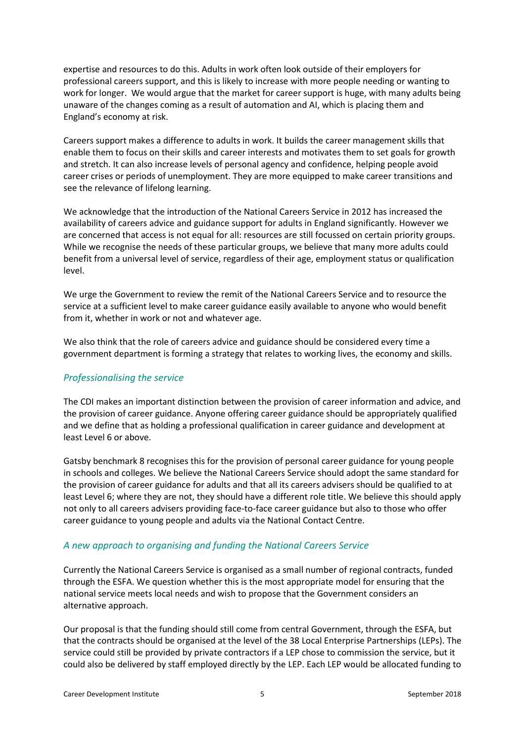expertise and resources to do this. Adults in work often look outside of their employers for professional careers support, and this is likely to increase with more people needing or wanting to work for longer. We would argue that the market for career support is huge, with many adults being unaware of the changes coming as a result of automation and AI, which is placing them and England's economy at risk.

Careers support makes a difference to adults in work. It builds the career management skills that enable them to focus on their skills and career interests and motivates them to set goals for growth and stretch. It can also increase levels of personal agency and confidence, helping people avoid career crises or periods of unemployment. They are more equipped to make career transitions and see the relevance of lifelong learning.

We acknowledge that the introduction of the National Careers Service in 2012 has increased the availability of careers advice and guidance support for adults in England significantly. However we are concerned that access is not equal for all: resources are still focussed on certain priority groups. While we recognise the needs of these particular groups, we believe that many more adults could benefit from a universal level of service, regardless of their age, employment status or qualification level.

We urge the Government to review the remit of the National Careers Service and to resource the service at a sufficient level to make career guidance easily available to anyone who would benefit from it, whether in work or not and whatever age.

We also think that the role of careers advice and guidance should be considered every time a government department is forming a strategy that relates to working lives, the economy and skills.

# *Professionalising the service*

The CDI makes an important distinction between the provision of career information and advice, and the provision of career guidance. Anyone offering career guidance should be appropriately qualified and we define that as holding a professional qualification in career guidance and development at least Level 6 or above.

Gatsby benchmark 8 recognises this for the provision of personal career guidance for young people in schools and colleges. We believe the National Careers Service should adopt the same standard for the provision of career guidance for adults and that all its careers advisers should be qualified to at least Level 6; where they are not, they should have a different role title. We believe this should apply not only to all careers advisers providing face-to-face career guidance but also to those who offer career guidance to young people and adults via the National Contact Centre.

# *A new approach to organising and funding the National Careers Service*

Currently the National Careers Service is organised as a small number of regional contracts, funded through the ESFA. We question whether this is the most appropriate model for ensuring that the national service meets local needs and wish to propose that the Government considers an alternative approach.

Our proposal is that the funding should still come from central Government, through the ESFA, but that the contracts should be organised at the level of the 38 Local Enterprise Partnerships (LEPs). The service could still be provided by private contractors if a LEP chose to commission the service, but it could also be delivered by staff employed directly by the LEP. Each LEP would be allocated funding to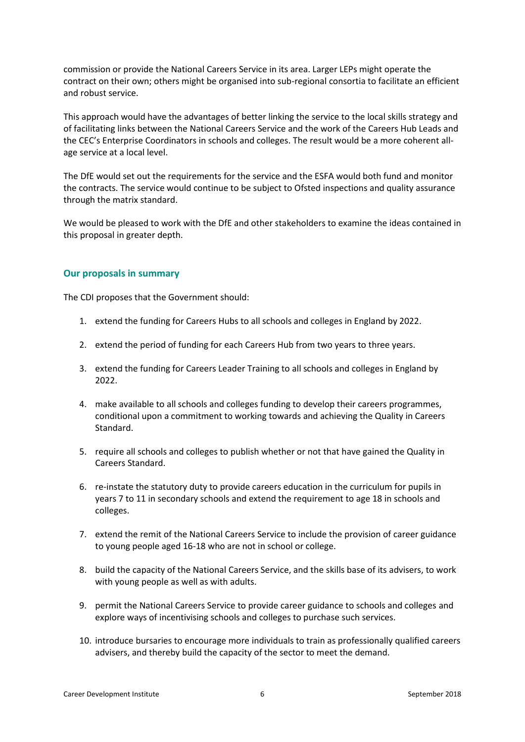commission or provide the National Careers Service in its area. Larger LEPs might operate the contract on their own; others might be organised into sub-regional consortia to facilitate an efficient and robust service.

This approach would have the advantages of better linking the service to the local skills strategy and of facilitating links between the National Careers Service and the work of the Careers Hub Leads and the CEC's Enterprise Coordinators in schools and colleges. The result would be a more coherent allage service at a local level.

The DfE would set out the requirements for the service and the ESFA would both fund and monitor the contracts. The service would continue to be subject to Ofsted inspections and quality assurance through the matrix standard.

We would be pleased to work with the DfE and other stakeholders to examine the ideas contained in this proposal in greater depth.

#### **Our proposals in summary**

The CDI proposes that the Government should:

- 1. extend the funding for Careers Hubs to all schools and colleges in England by 2022.
- 2. extend the period of funding for each Careers Hub from two years to three years.
- 3. extend the funding for Careers Leader Training to all schools and colleges in England by 2022.
- 4. make available to all schools and colleges funding to develop their careers programmes, conditional upon a commitment to working towards and achieving the Quality in Careers Standard.
- 5. require all schools and colleges to publish whether or not that have gained the Quality in Careers Standard.
- 6. re-instate the statutory duty to provide careers education in the curriculum for pupils in years 7 to 11 in secondary schools and extend the requirement to age 18 in schools and colleges.
- 7. extend the remit of the National Careers Service to include the provision of career guidance to young people aged 16-18 who are not in school or college.
- 8. build the capacity of the National Careers Service, and the skills base of its advisers, to work with young people as well as with adults.
- 9. permit the National Careers Service to provide career guidance to schools and colleges and explore ways of incentivising schools and colleges to purchase such services.
- 10. introduce bursaries to encourage more individuals to train as professionally qualified careers advisers, and thereby build the capacity of the sector to meet the demand.